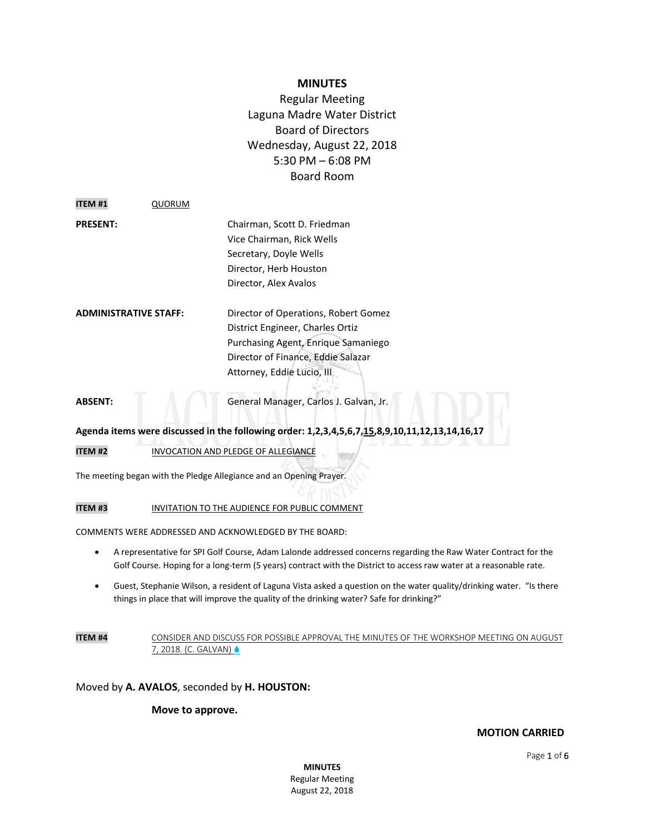# **MINUTES**

Regular Meeting Laguna Madre Water District Board of Directors Wednesday, August 22, 2018 5:30 PM – 6:08 PM Board Room

| <b>ITEM#1</b>                | QUORUM |                                      |
|------------------------------|--------|--------------------------------------|
| <b>PRESENT:</b>              |        | Chairman, Scott D. Friedman          |
|                              |        | Vice Chairman, Rick Wells            |
|                              |        | Secretary, Doyle Wells               |
|                              |        | Director, Herb Houston               |
|                              |        | Director, Alex Avalos                |
| <b>ADMINISTRATIVE STAFF:</b> |        | Director of Operations, Robert Gomez |
|                              |        | District Engineer, Charles Ortiz     |
|                              |        | Purchasing Agent, Enrique Samaniego  |
|                              |        | Director of Finance, Eddie Salazar   |
|                              |        | Attorney, Eddie Lucio, III           |
|                              |        |                                      |

**ABSENT:** General Manager, Carlos J. Galvan, Jr.

# **Agenda items were discussed in the following order: 1,2,3,4,5,6,7,15,8,9,10,11,12,13,14,16,17**

**ITEM #2** INVOCATION AND PLEDGE OF ALLEGIANCE

The meeting began with the Pledge Allegiance and an Opening Prayer.

**ITEM #3** INVITATION TO THE AUDIENCE FOR PUBLIC COMMENT

COMMENTS WERE ADDRESSED AND ACKNOWLEDGED BY THE BOARD:

- A representative for SPI Golf Course, Adam Lalonde addressed concerns regarding the Raw Water Contract for the Golf Course. Hoping for a long-term (5 years) contract with the District to access raw water at a reasonable rate.
- Guest, Stephanie Wilson, a resident of Laguna Vista asked a question on the water quality/drinking water. "Is there things in place that will improve the quality of the drinking water? Safe for drinking?"

## **ITEM #4** CONSIDER AND DISCUSS FOR POSSIBLE APPROVAL THE MINUTES OF THE WORKSHOP MEETING ON AUGUST 7, 2018. (C. GALVAN)

Moved by **A. AVALOS**, seconded by **H. HOUSTON:**

## **Move to approve.**

**MOTION CARRIED**

**MINUTES** Regular Meeting August 22, 2018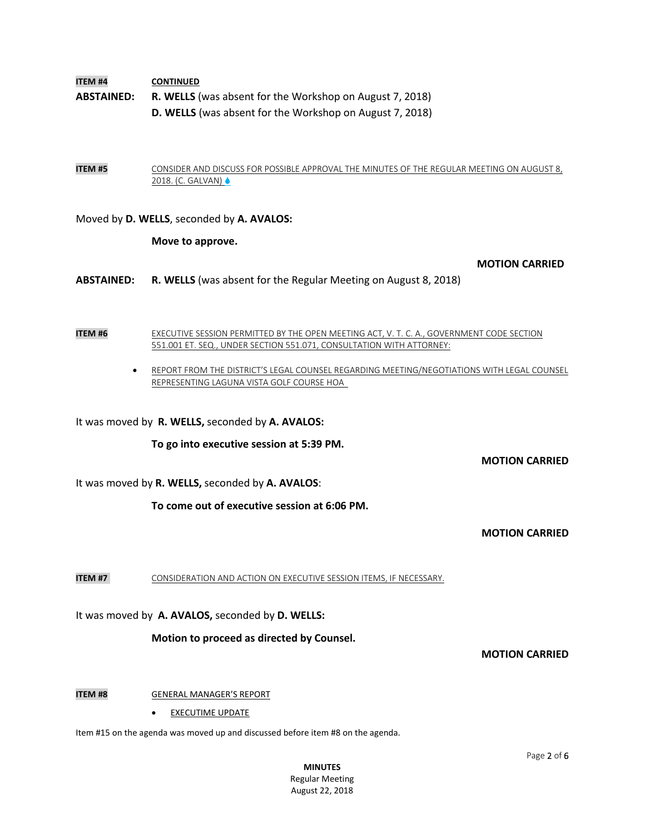**ITEM #4 CONTINUED ABSTAINED: R. WELLS** (was absent for the Workshop on August 7, 2018) **D. WELLS** (was absent for the Workshop on August 7, 2018)

**ITEM #5** CONSIDER AND DISCUSS FOR POSSIBLE APPROVAL THE MINUTES OF THE REGULAR MEETING ON AUGUST 8, 2018. (C. GALVAN)

Moved by **D. WELLS**, seconded by **A. AVALOS:**

**Move to approve.** 

**MOTION CARRIED**

**ABSTAINED: R. WELLS** (was absent for the Regular Meeting on August 8, 2018)

**ITEM #6** EXECUTIVE SESSION PERMITTED BY THE OPEN MEETING ACT, V. T. C. A., GOVERNMENT CODE SECTION 551.001 ET. SEQ., UNDER SECTION 551.071, CONSULTATION WITH ATTORNEY:

> REPORT FROM THE DISTRICT'S LEGAL COUNSEL REGARDING MEETING/NEGOTIATIONS WITH LEGAL COUNSEL REPRESENTING LAGUNA VISTA GOLF COURSE HOA

It was moved by **R. WELLS,** seconded by **A. AVALOS:**

**To go into executive session at 5:39 PM.**

**MOTION CARRIED**

It was moved by **R. WELLS,** seconded by **A. AVALOS**:

**To come out of executive session at 6:06 PM.**

**MOTION CARRIED**

**ITEM #7** CONSIDERATION AND ACTION ON EXECUTIVE SESSION ITEMS, IF NECESSARY.

It was moved by **A. AVALOS,** seconded by **D. WELLS:**

**Motion to proceed as directed by Counsel.**

**MOTION CARRIED**

# **ITEM #8 GENERAL MANAGER'S REPORT**

EXECUTIME UPDATE

Item #15 on the agenda was moved up and discussed before item #8 on the agenda.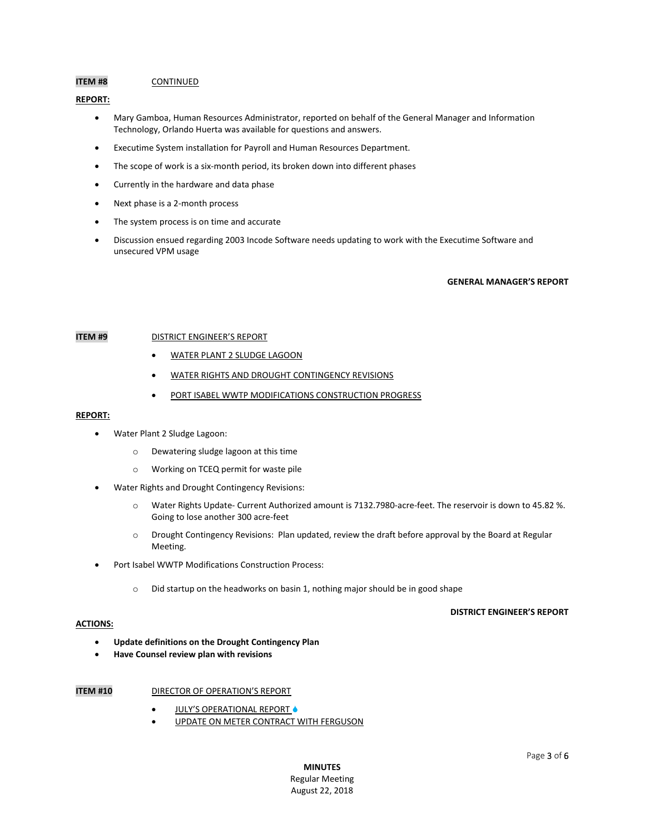#### **ITEM #8** CONTINUED

## **REPORT:**

- Mary Gamboa, Human Resources Administrator, reported on behalf of the General Manager and Information Technology, Orlando Huerta was available for questions and answers.
- Executime System installation for Payroll and Human Resources Department.
- The scope of work is a six-month period, its broken down into different phases
- Currently in the hardware and data phase
- Next phase is a 2-month process
- The system process is on time and accurate
- Discussion ensued regarding 2003 Incode Software needs updating to work with the Executime Software and unsecured VPM usage

#### **GENERAL MANAGER'S REPORT**

## **ITEM #9** DISTRICT ENGINEER'S REPORT

- WATER PLANT 2 SLUDGE LAGOON
- WATER RIGHTS AND DROUGHT CONTINGENCY REVISIONS
- **PORT ISABEL WWTP MODIFICATIONS CONSTRUCTION PROGRESS**

#### **REPORT:**

- Water Plant 2 Sludge Lagoon:
	- o Dewatering sludge lagoon at this time
	- o Working on TCEQ permit for waste pile
- Water Rights and Drought Contingency Revisions:
	- o Water Rights Update- Current Authorized amount is 7132.7980-acre-feet. The reservoir is down to 45.82 %. Going to lose another 300 acre-feet
	- o Drought Contingency Revisions: Plan updated, review the draft before approval by the Board at Regular Meeting.
- Port Isabel WWTP Modifications Construction Process:
	- o Did startup on the headworks on basin 1, nothing major should be in good shape

### **DISTRICT ENGINEER'S REPORT**

### **ACTIONS:**

- **Update definitions on the Drought Contingency Plan**
- **Have Counsel review plan with revisions**

- **ITEM #10** DIRECTOR OF OPERATION'S REPORT
	- JULY'S OPERATIONAL REPORT  $\bullet$
	- UPDATE ON METER CONTRACT WITH FERGUSON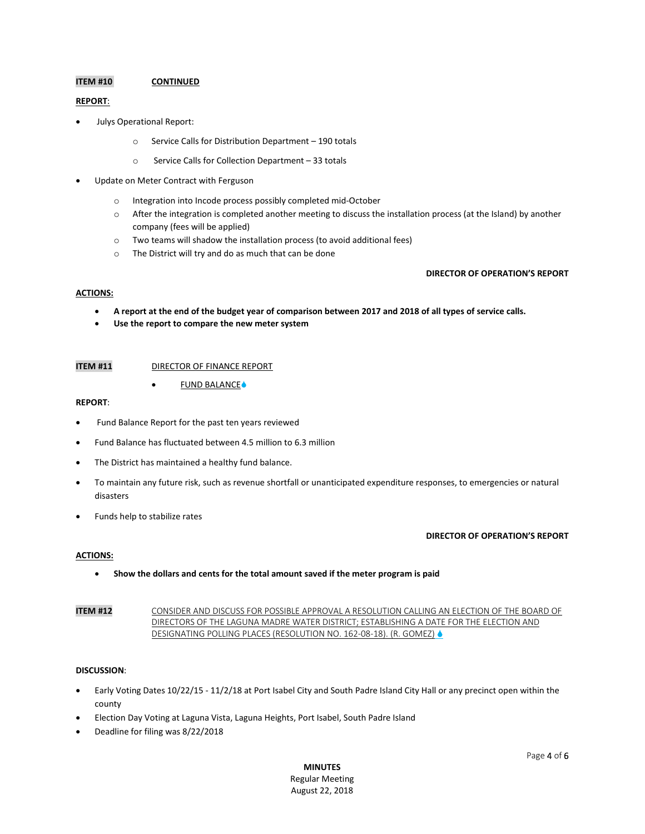# **ITEM #10 CONTINUED**

#### **REPORT**:

- Julys Operational Report:
	- o Service Calls for Distribution Department 190 totals
	- o Service Calls for Collection Department 33 totals
- Update on Meter Contract with Ferguson
	- o Integration into Incode process possibly completed mid-October
	- o After the integration is completed another meeting to discuss the installation process (at the Island) by another company (fees will be applied)
	- o Two teams will shadow the installation process (to avoid additional fees)
	- o The District will try and do as much that can be done

#### **DIRECTOR OF OPERATION'S REPORT**

#### **ACTIONS:**

- **A report at the end of the budget year of comparison between 2017 and 2018 of all types of service calls.**
- **Use the report to compare the new meter system**

#### **ITEM #11** DIRECTOR OF FINANCE REPORT

 $\bullet$  FUND BALANCE $\bullet$ 

#### **REPORT**:

- Fund Balance Report for the past ten years reviewed
- Fund Balance has fluctuated between 4.5 million to 6.3 million
- The District has maintained a healthy fund balance.
- To maintain any future risk, such as revenue shortfall or unanticipated expenditure responses, to emergencies or natural disasters
- Funds help to stabilize rates

#### **DIRECTOR OF OPERATION'S REPORT**

#### **ACTIONS:**

**Show the dollars and cents for the total amount saved if the meter program is paid**

# **ITEM #12** CONSIDER AND DISCUSS FOR POSSIBLE APPROVAL A RESOLUTION CALLING AN ELECTION OF THE BOARD OF DIRECTORS OF THE LAGUNA MADRE WATER DISTRICT; ESTABLISHING A DATE FOR THE ELECTION AND DESIGNATING POLLING PLACES (RESOLUTION NO. 162-08-18). (R. GOMEZ) ♦

#### **DISCUSSION**:

- Early Voting Dates 10/22/15 11/2/18 at Port Isabel City and South Padre Island City Hall or any precinct open within the county
- Election Day Voting at Laguna Vista, Laguna Heights, Port Isabel, South Padre Island
- Deadline for filing was 8/22/2018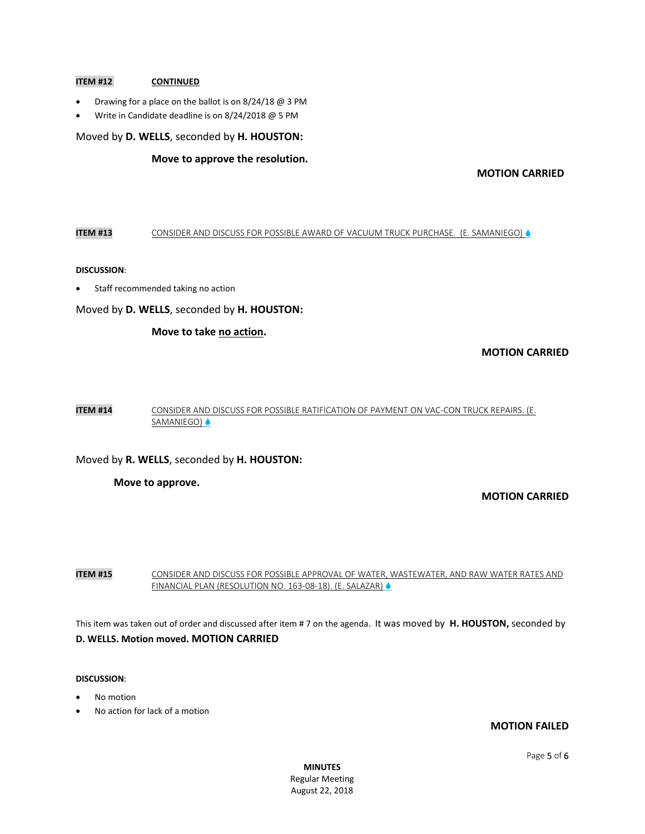# **ITEM #12 CONTINUED**

- Drawing for a place on the ballot is on 8/24/18 @ 3 PM
- Write in Candidate deadline is on 8/24/2018 @ 5 PM

Moved by **D. WELLS**, seconded by **H. HOUSTON:**

# **Move to approve the resolution.**

# **MOTION CARRIED**

# **ITEM #13** CONSIDER AND DISCUSS FOR POSSIBLE AWARD OF VACUUM TRUCK PURCHASE. (E. SAMANIEGO)

#### **DISCUSSION**:

Staff recommended taking no action

Moved by **D. WELLS**, seconded by **H. HOUSTON:**

# **Move to take no action.**

# **MOTION CARRIED**

**ITEM #14** CONSIDER AND DISCUSS FOR POSSIBLE RATIFICATION OF PAYMENT ON VAC-CON TRUCK REPAIRS. (E. SAMANIEGO) ♦

# Moved by **R. WELLS**, seconded by **H. HOUSTON:**

#### **Move to approve.**

# **MOTION CARRIED**

**ITEM #15** CONSIDER AND DISCUSS FOR POSSIBLE APPROVAL OF WATER, WASTEWATER, AND RAW WATER RATES AND FINANCIAL PLAN (RESOLUTION NO. 163-08-18). (E. SALAZAR)

This item was taken out of order and discussed after item # 7 on the agenda. It was moved by **H. HOUSTON,** seconded by **D. WELLS. Motion moved. MOTION CARRIED**

#### **DISCUSSION**:

- No motion
- No action for lack of a motion

# **MOTION FAILED**

**MINUTES** Regular Meeting August 22, 2018